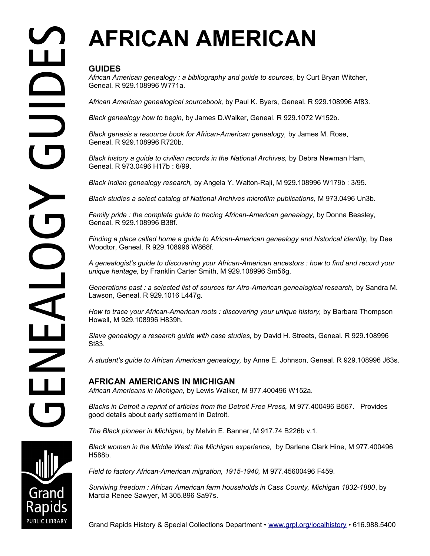# **AFRICAN AMERICAN**

### **GUIDES**

*African American genealogy : a bibliography and guide to sources*, by Curt Bryan Witcher, Geneal. R 929.108996 W771a.

*African American genealogical sourcebook,* by Paul K. Byers, Geneal. R 929.108996 Af83.

*Black genealogy how to begin,* by James D.Walker, Geneal. R 929.1072 W152b.

*Black genesis a resource book for African-American genealogy,* by James M. Rose, Geneal. R 929.108996 R720b.

*Black history a guide to civilian records in the National Archives,* by Debra Newman Ham, Geneal. R 973.0496 H17b : 6/99.

*Black Indian genealogy research,* by Angela Y. Walton-Raji, M 929.108996 W179b : 3/95.

Black studies a select catalog of National Archives microfilm publications, M 973.0496 Un3b.

*Family pride : the complete guide to tracing African-American genealogy, by Donna Beasley,* Geneal. R 929.108996 B38f.

*Finding a place called home a guide to African-American genealogy and historical identity,* by Dee Woodtor, Geneal. R 929.108996 W868f.

*A genealogist's guide to discovering your African-American ancestors : how to find and record your unique heritage,* by Franklin Carter Smith, M 929.108996 Sm56g.

*Generations past : a selected list of sources for Afro-American genealogical research,* by Sandra M. Lawson, Geneal. R 929.1016 L447g.

How to trace your African-American roots : discovering your unique history, by Barbara Thompson Howell, M 929.108996 H839h.

*Slave genealogy a research guide with case studies,* by David H. Streets, Geneal. R 929.108996 St83.

*A student's guide to African American genealogy,* by Anne E. Johnson, Geneal. R 929.108996 J63s.

## **AFRICAN AMERICANS IN MICHIGAN**

*African Americans in Michigan,* by Lewis Walker, M 977.400496 W152a.

*Blacks in Detroit a reprint of articles from the Detroit Free Press,* M 977.400496 B567. Provides good details about early settlement in Detroit.

*The Black pioneer in Michigan,* by Melvin E. Banner, M 917.74 B226b v.1.

*Black women in the Middle West: the Michigan experience,* by Darlene Clark Hine, M 977.400496 H588b.

*Field to factory African-American migration, 1915-1940,* M 977.45600496 F459.

*Surviving freedom : African American farm households in Cass County, Michigan 1832-1880*, by Marcia Renee Sawyer, M 305.896 Sa97s.

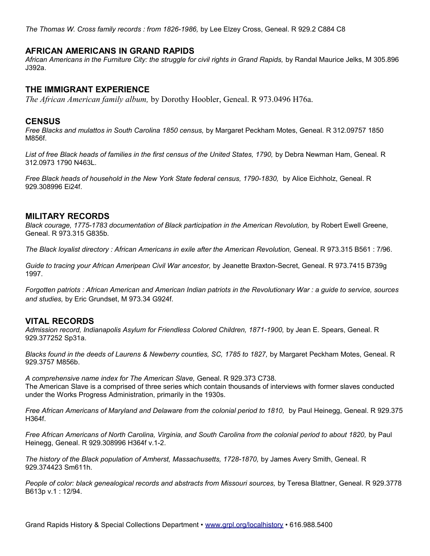*The Thomas W. Cross family records : from 1826-1986,* by Lee Elzey Cross, Geneal. R 929.2 C884 C8

#### **AFRICAN AMERICANS IN GRAND RAPIDS**

*African Americans in the Furniture City: the struggle for civil rights in Grand Rapids,* by Randal Maurice Jelks, M 305.896 J392a.

#### **THE IMMIGRANT EXPERIENCE**

*The African American family album,* by Dorothy Hoobler, Geneal. R 973.0496 H76a.

#### **CENSUS**

*Free Blacks and mulattos in South Carolina 1850 census,* by Margaret Peckham Motes, Geneal. R 312.09757 1850 M856f.

List of free Black heads of families in the first census of the United States, 1790, by Debra Newman Ham, Geneal. R 312.0973 1790 N463L.

*Free Black heads of household in the New York State federal census, 1790-1830,* by Alice Eichholz, Geneal. R 929.308996 Ei24f.

#### **MILITARY RECORDS**

*Black courage, 1775-1783 documentation of Black participation in the American Revolution, by Robert Ewell Greene,* Geneal. R 973.315 G835b.

*The Black loyalist directory : African Americans in exile after the American Revolution,* Geneal. R 973.315 B561 : 7/96.

*Guide to tracing your African Ameripean Civil War ancestor,* by Jeanette Braxton-Secret, Geneal. R 973.7415 B739g 1997.

*Forgotten patriots : African American and American Indian patriots in the Revolutionary War : a guide to service, sources and studies,* by Eric Grundset, M 973.34 G924f.

#### **VITAL RECORDS**

*Admission record, Indianapolis Asylum for Friendless Colored Children, 1871-1900,* by Jean E. Spears, Geneal. R 929.377252 Sp31a.

*Blacks found in the deeds of Laurens & Newberry counties, SC, 1785 to 1827, by Margaret Peckham Motes, Geneal, R* 929.3757 M856b.

*A comprehensive name index for The American Slave,* Geneal. R 929.373 C738. The American Slave is a comprised of three series which contain thousands of interviews with former slaves conducted under the Works Progress Administration, primarily in the 1930s.

*Free African Americans of Maryland and Delaware from the colonial period to 1810, by Paul Heinegg, Geneal. R 929.375* H364f.

*Free African Americans of North Carolina, Virginia, and South Carolina from the colonial period to about 1820,* by Paul Heinegg, Geneal. R 929.308996 H364f v.1-2.

*The history of the Black population of Amherst, Massachusetts, 1728-1870,* by James Avery Smith, Geneal. R 929.374423 Sm611h.

*People of color: black genealogical records and abstracts from Missouri sources,* by Teresa Blattner, Geneal. R 929.3778 B613p v.1 : 12/94.